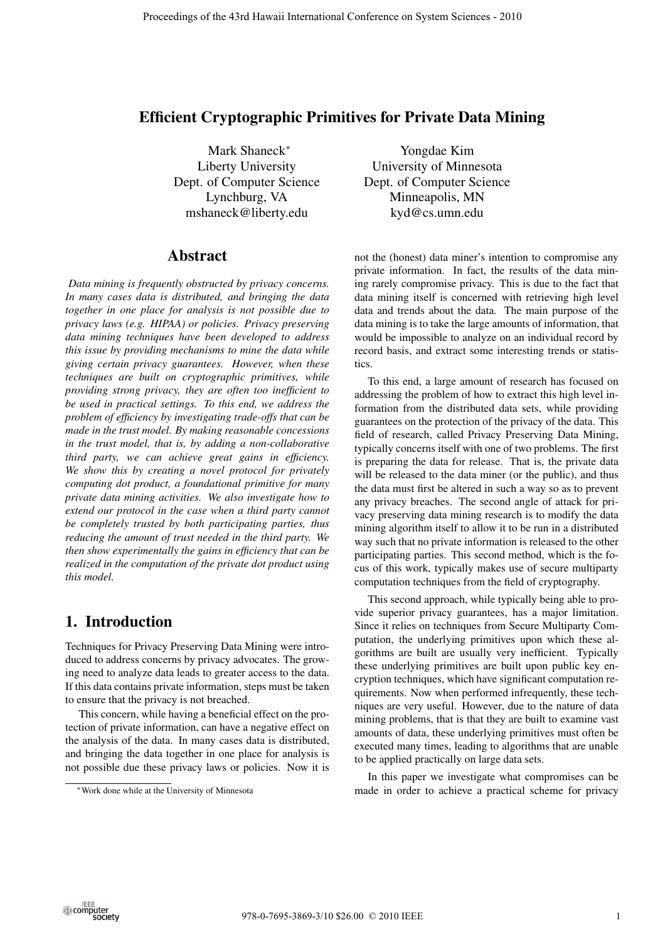## **Efficient Cryptographic Primitives for Private Data Mining**

Mark Shaneck<sup>∗</sup> Liberty University Dept. of Computer Science Lynchburg, VA mshaneck@liberty.edu

## **Abstract**

*Data mining is frequently obstructed by privacy concerns. In many cases data is distributed, and bringing the data together in one place for analysis is not possible due to privacy laws (e.g. HIPAA) or policies. Privacy preserving data mining techniques have been developed to address this issue by providing mechanisms to mine the data while giving certain privacy guarantees. However, when these techniques are built on cryptographic primitives, while providing strong privacy, they are often too inefficient to be used in practical settings. To this end, we address the problem of efficiency by investigating trade-offs that can be made in the trust model. By making reasonable concessions in the trust model, that is, by adding a non-collaborative third party, we can achieve great gains in efficiency. We show this by creating a novel protocol for privately computing dot product, a foundational primitive for many private data mining activities. We also investigate how to extend our protocol in the case when a third party cannot be completely trusted by both participating parties, thus reducing the amount of trust needed in the third party. We then show experimentally the gains in efficiency that can be realized in the computation of the private dot product using this model.*

# **1. Introduction**

Techniques for Privacy Preserving Data Mining were introduced to address concerns by privacy advocates. The growing need to analyze data leads to greater access to the data. If this data contains private information, steps must be taken to ensure that the privacy is not breached.

This concern, while having a beneficial effect on the protection of private information, can have a negative effect on the analysis of the data. In many cases data is distributed, and bringing the data together in one place for analysis is not possible due these privacy laws or policies. Now it is

Yongdae Kim University of Minnesota Dept. of Computer Science Minneapolis, MN kyd@cs.umn.edu

not the (honest) data miner's intention to compromise any private information. In fact, the results of the data mining rarely compromise privacy. This is due to the fact that data mining itself is concerned with retrieving high level data and trends about the data. The main purpose of the data mining is to take the large amounts of information, that would be impossible to analyze on an individual record by record basis, and extract some interesting trends or statistics.

To this end, a large amount of research has focused on addressing the problem of how to extract this high level information from the distributed data sets, while providing guarantees on the protection of the privacy of the data. This field of research, called Privacy Preserving Data Mining, typically concerns itself with one of two problems. The first is preparing the data for release. That is, the private data will be released to the data miner (or the public), and thus the data must first be altered in such a way so as to prevent any privacy breaches. The second angle of attack for privacy preserving data mining research is to modify the data mining algorithm itself to allow it to be run in a distributed way such that no private information is released to the other participating parties. This second method, which is the focus of this work, typically makes use of secure multiparty computation techniques from the field of cryptography.

This second approach, while typically being able to provide superior privacy guarantees, has a major limitation. Since it relies on techniques from Secure Multiparty Computation, the underlying primitives upon which these algorithms are built are usually very inefficient. Typically these underlying primitives are built upon public key encryption techniques, which have significant computation requirements. Now when performed infrequently, these techniques are very useful. However, due to the nature of data mining problems, that is that they are built to examine vast amounts of data, these underlying primitives must often be executed many times, leading to algorithms that are unable to be applied practically on large data sets.

In this paper we investigate what compromises can be made in order to achieve a practical scheme for privacy

<sup>∗</sup>Work done while at the University of Minnesota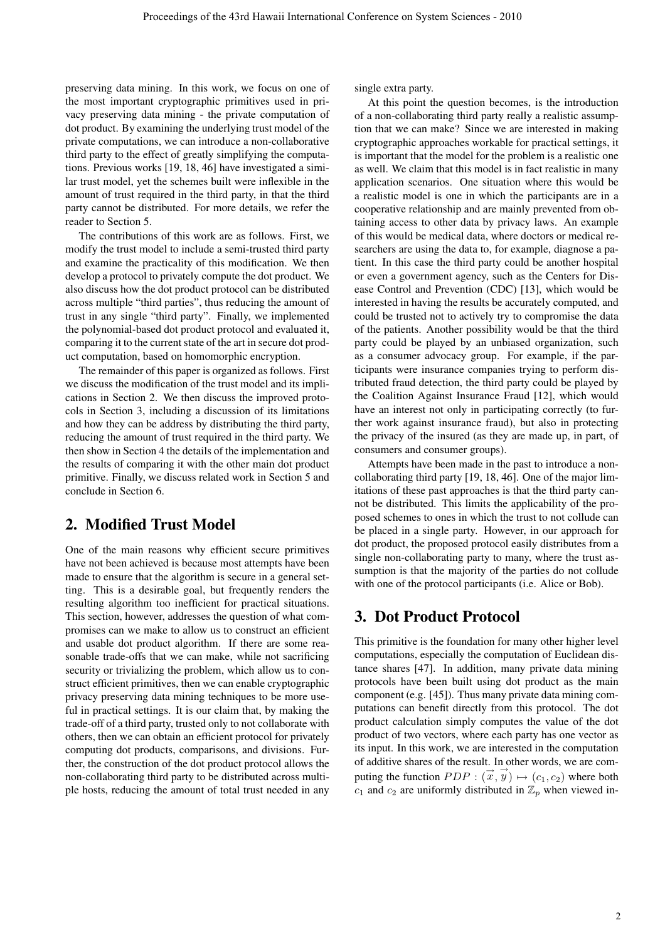preserving data mining. In this work, we focus on one of the most important cryptographic primitives used in privacy preserving data mining - the private computation of dot product. By examining the underlying trust model of the private computations, we can introduce a non-collaborative third party to the effect of greatly simplifying the computations. Previous works [19, 18, 46] have investigated a similar trust model, yet the schemes built were inflexible in the amount of trust required in the third party, in that the third party cannot be distributed. For more details, we refer the reader to Section 5.

The contributions of this work are as follows. First, we modify the trust model to include a semi-trusted third party and examine the practicality of this modification. We then develop a protocol to privately compute the dot product. We also discuss how the dot product protocol can be distributed across multiple "third parties", thus reducing the amount of trust in any single "third party". Finally, we implemented the polynomial-based dot product protocol and evaluated it, comparing it to the current state of the art in secure dot product computation, based on homomorphic encryption.

The remainder of this paper is organized as follows. First we discuss the modification of the trust model and its implications in Section 2. We then discuss the improved protocols in Section 3, including a discussion of its limitations and how they can be address by distributing the third party, reducing the amount of trust required in the third party. We then show in Section 4 the details of the implementation and the results of comparing it with the other main dot product primitive. Finally, we discuss related work in Section 5 and conclude in Section 6.

# **2. Modified Trust Model**

One of the main reasons why efficient secure primitives have not been achieved is because most attempts have been made to ensure that the algorithm is secure in a general setting. This is a desirable goal, but frequently renders the resulting algorithm too inefficient for practical situations. This section, however, addresses the question of what compromises can we make to allow us to construct an efficient and usable dot product algorithm. If there are some reasonable trade-offs that we can make, while not sacrificing security or trivializing the problem, which allow us to construct efficient primitives, then we can enable cryptographic privacy preserving data mining techniques to be more useful in practical settings. It is our claim that, by making the trade-off of a third party, trusted only to not collaborate with others, then we can obtain an efficient protocol for privately computing dot products, comparisons, and divisions. Further, the construction of the dot product protocol allows the non-collaborating third party to be distributed across multiple hosts, reducing the amount of total trust needed in any

single extra party.

At this point the question becomes, is the introduction of a non-collaborating third party really a realistic assumption that we can make? Since we are interested in making cryptographic approaches workable for practical settings, it is important that the model for the problem is a realistic one as well. We claim that this model is in fact realistic in many application scenarios. One situation where this would be a realistic model is one in which the participants are in a cooperative relationship and are mainly prevented from obtaining access to other data by privacy laws. An example of this would be medical data, where doctors or medical researchers are using the data to, for example, diagnose a patient. In this case the third party could be another hospital or even a government agency, such as the Centers for Disease Control and Prevention (CDC) [13], which would be interested in having the results be accurately computed, and could be trusted not to actively try to compromise the data of the patients. Another possibility would be that the third party could be played by an unbiased organization, such as a consumer advocacy group. For example, if the participants were insurance companies trying to perform distributed fraud detection, the third party could be played by the Coalition Against Insurance Fraud [12], which would have an interest not only in participating correctly (to further work against insurance fraud), but also in protecting the privacy of the insured (as they are made up, in part, of consumers and consumer groups).

Attempts have been made in the past to introduce a noncollaborating third party [19, 18, 46]. One of the major limitations of these past approaches is that the third party cannot be distributed. This limits the applicability of the proposed schemes to ones in which the trust to not collude can be placed in a single party. However, in our approach for dot product, the proposed protocol easily distributes from a single non-collaborating party to many, where the trust assumption is that the majority of the parties do not collude with one of the protocol participants (i.e. Alice or Bob).

## **3. Dot Product Protocol**

This primitive is the foundation for many other higher level computations, especially the computation of Euclidean distance shares [47]. In addition, many private data mining protocols have been built using dot product as the main component (e.g. [45]). Thus many private data mining computations can benefit directly from this protocol. The dot product calculation simply computes the value of the dot product of two vectors, where each party has one vector as its input. In this work, we are interested in the computation of additive shares of the result. In other words, we are computing the function  $PDP : (\overrightarrow{x}, \overrightarrow{y}) \mapsto (c_1, c_2)$  where both  $c_1$  and  $c_2$  are uniformly distributed in  $\mathbb{Z}_p$  when viewed in-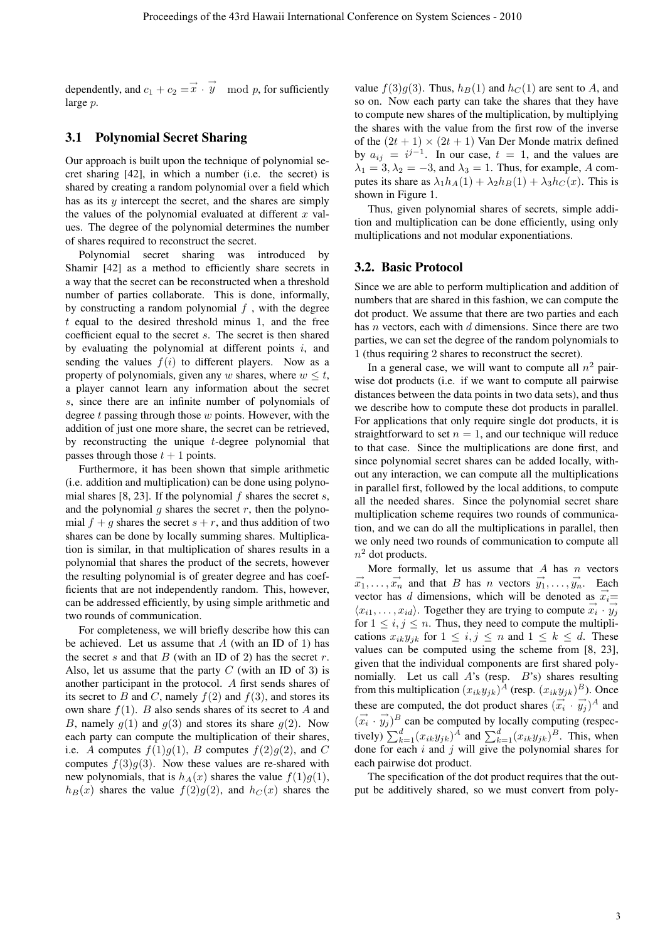dependently, and  $c_1 + c_2 = \vec{x} \cdot \vec{y} \mod p$ , for sufficiently large p.

#### **3.1 Polynomial Secret Sharing**

Our approach is built upon the technique of polynomial secret sharing [42], in which a number (i.e. the secret) is shared by creating a random polynomial over a field which has as its  $y$  intercept the secret, and the shares are simply the values of the polynomial evaluated at different  $x$  values. The degree of the polynomial determines the number of shares required to reconstruct the secret.

Polynomial secret sharing was introduced by Shamir [42] as a method to efficiently share secrets in a way that the secret can be reconstructed when a threshold number of parties collaborate. This is done, informally, by constructing a random polynomial  $f$ , with the degree  $t$  equal to the desired threshold minus 1, and the free coefficient equal to the secret s. The secret is then shared by evaluating the polynomial at different points  $i$ , and sending the values  $f(i)$  to different players. Now as a property of polynomials, given any w shares, where  $w \leq t$ , a player cannot learn any information about the secret s, since there are an infinite number of polynomials of degree  $t$  passing through those  $w$  points. However, with the addition of just one more share, the secret can be retrieved, by reconstructing the unique t-degree polynomial that passes through those  $t + 1$  points.

Furthermore, it has been shown that simple arithmetic (i.e. addition and multiplication) can be done using polynomial shares  $[8, 23]$ . If the polynomial  $f$  shares the secret  $s$ , and the polynomial q shares the secret  $r$ , then the polynomial  $f + q$  shares the secret  $s + r$ , and thus addition of two shares can be done by locally summing shares. Multiplication is similar, in that multiplication of shares results in a polynomial that shares the product of the secrets, however the resulting polynomial is of greater degree and has coefficients that are not independently random. This, however, can be addressed efficiently, by using simple arithmetic and two rounds of communication.

For completeness, we will briefly describe how this can be achieved. Let us assume that  $A$  (with an ID of 1) has the secret s and that  $B$  (with an ID of 2) has the secret  $r$ . Also, let us assume that the party  $C$  (with an ID of 3) is another participant in the protocol. A first sends shares of its secret to B and C, namely  $f(2)$  and  $f(3)$ , and stores its own share  $f(1)$ . B also sends shares of its secret to A and B, namely  $q(1)$  and  $q(3)$  and stores its share  $q(2)$ . Now each party can compute the multiplication of their shares, i.e. A computes  $f(1)g(1)$ , B computes  $f(2)g(2)$ , and C computes  $f(3)g(3)$ . Now these values are re-shared with new polynomials, that is  $h_A(x)$  shares the value  $f(1)q(1)$ ,  $h_B(x)$  shares the value  $f(2)g(2)$ , and  $h_C(x)$  shares the

value  $f(3)g(3)$ . Thus,  $h_B(1)$  and  $h_C(1)$  are sent to A, and so on. Now each party can take the shares that they have to compute new shares of the multiplication, by multiplying the shares with the value from the first row of the inverse of the  $(2t + 1) \times (2t + 1)$  Van Der Monde matrix defined by  $a_{ij} = i^{j-1}$ . In our case,  $t = 1$ , and the values are  $\lambda_1 = 3, \lambda_2 = -3$ , and  $\lambda_3 = 1$ . Thus, for example, A computes its share as  $\lambda_1 h_A(1) + \lambda_2 h_B(1) + \lambda_3 h_C(x)$ . This is shown in Figure 1.

Thus, given polynomial shares of secrets, simple addition and multiplication can be done efficiently, using only multiplications and not modular exponentiations.

#### **3.2. Basic Protocol**

Since we are able to perform multiplication and addition of numbers that are shared in this fashion, we can compute the dot product. We assume that there are two parties and each has  $n$  vectors, each with  $d$  dimensions. Since there are two parties, we can set the degree of the random polynomials to 1 (thus requiring 2 shares to reconstruct the secret).

In a general case, we will want to compute all  $n^2$  pairwise dot products (i.e. if we want to compute all pairwise distances between the data points in two data sets), and thus we describe how to compute these dot products in parallel. For applications that only require single dot products, it is straightforward to set  $n = 1$ , and our technique will reduce to that case. Since the multiplications are done first, and since polynomial secret shares can be added locally, without any interaction, we can compute all the multiplications in parallel first, followed by the local additions, to compute all the needed shares. Since the polynomial secret share multiplication scheme requires two rounds of communication, and we can do all the multiplications in parallel, then we only need two rounds of communication to compute all  $n^2$  dot products.

More formally, let us assume that  $A$  has  $n$  vectors  $\vec{x}_1, \ldots, \vec{x}_n$  and that B has n vectors  $\vec{y}_1, \ldots, \vec{y}_n$ . Each vector has d dimensions, which will be denoted as  $\vec{x_i}$  $\langle x_{i1}, \ldots, x_{id} \rangle$ . Together they are trying to compute  $\vec{x}_i \cdot \vec{y}_j$ for  $1 \leq i, j \leq n$ . Thus, they need to compute the multiplications  $x_{ik}y_{jk}$  for  $1 \leq i, j \leq n$  and  $1 \leq k \leq d$ . These values can be computed using the scheme from [8, 23], given that the individual components are first shared polynomially. Let us call  $A$ 's (resp.  $B$ 's) shares resulting from this multiplication  $(x_{ik}y_{jk})^A$  (resp.  $(x_{ik}y_{jk})^B$ ). Once these are computed, the dot product shares  $(\vec{x}_i \cdot \vec{y}_j)^A$  and  $(\vec{x}_i \cdot \vec{y}_j)^B$  can be computed by locally computing (respectively)  $\sum_{k=1}^{d} (x_{ik}y_{jk})^{\hat{A}}$  and  $\sum_{k=1}^{d} (x_{ik}y_{jk})^{\hat{B}}$ . This, when done for each  $i$  and  $j$  will give the polynomial shares for each pairwise dot product.

The specification of the dot product requires that the output be additively shared, so we must convert from poly-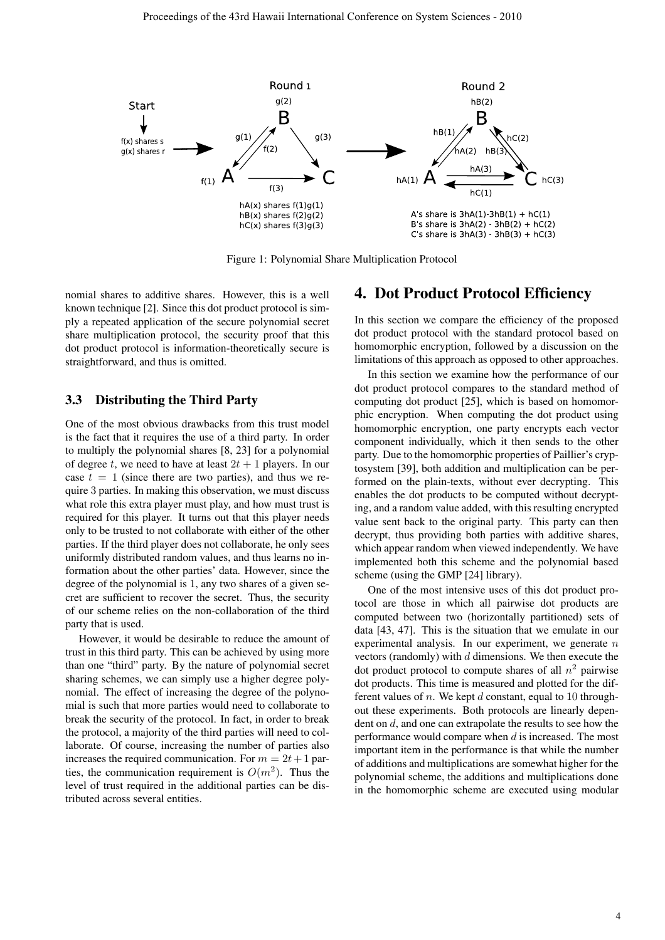

Figure 1: Polynomial Share Multiplication Protocol

nomial shares to additive shares. However, this is a well known technique [2]. Since this dot product protocol is simply a repeated application of the secure polynomial secret share multiplication protocol, the security proof that this dot product protocol is information-theoretically secure is straightforward, and thus is omitted.

#### **3.3 Distributing the Third Party**

One of the most obvious drawbacks from this trust model is the fact that it requires the use of a third party. In order to multiply the polynomial shares [8, 23] for a polynomial of degree t, we need to have at least  $2t + 1$  players. In our case  $t = 1$  (since there are two parties), and thus we require 3 parties. In making this observation, we must discuss what role this extra player must play, and how must trust is required for this player. It turns out that this player needs only to be trusted to not collaborate with either of the other parties. If the third player does not collaborate, he only sees uniformly distributed random values, and thus learns no information about the other parties' data. However, since the degree of the polynomial is 1, any two shares of a given secret are sufficient to recover the secret. Thus, the security of our scheme relies on the non-collaboration of the third party that is used.

However, it would be desirable to reduce the amount of trust in this third party. This can be achieved by using more than one "third" party. By the nature of polynomial secret sharing schemes, we can simply use a higher degree polynomial. The effect of increasing the degree of the polynomial is such that more parties would need to collaborate to break the security of the protocol. In fact, in order to break the protocol, a majority of the third parties will need to collaborate. Of course, increasing the number of parties also increases the required communication. For  $m = 2t + 1$  parties, the communication requirement is  $O(m^2)$ . Thus the level of trust required in the additional parties can be distributed across several entities.

## **4. Dot Product Protocol Efficiency**

In this section we compare the efficiency of the proposed dot product protocol with the standard protocol based on homomorphic encryption, followed by a discussion on the limitations of this approach as opposed to other approaches.

In this section we examine how the performance of our dot product protocol compares to the standard method of computing dot product [25], which is based on homomorphic encryption. When computing the dot product using homomorphic encryption, one party encrypts each vector component individually, which it then sends to the other party. Due to the homomorphic properties of Paillier's cryptosystem [39], both addition and multiplication can be performed on the plain-texts, without ever decrypting. This enables the dot products to be computed without decrypting, and a random value added, with this resulting encrypted value sent back to the original party. This party can then decrypt, thus providing both parties with additive shares, which appear random when viewed independently. We have implemented both this scheme and the polynomial based scheme (using the GMP [24] library).

One of the most intensive uses of this dot product protocol are those in which all pairwise dot products are computed between two (horizontally partitioned) sets of data [43, 47]. This is the situation that we emulate in our experimental analysis. In our experiment, we generate  $n$ vectors (randomly) with  $d$  dimensions. We then execute the dot product protocol to compute shares of all  $n^2$  pairwise dot products. This time is measured and plotted for the different values of *n*. We kept  $d$  constant, equal to 10 throughout these experiments. Both protocols are linearly dependent on d, and one can extrapolate the results to see how the performance would compare when  $d$  is increased. The most important item in the performance is that while the number of additions and multiplications are somewhat higher for the polynomial scheme, the additions and multiplications done in the homomorphic scheme are executed using modular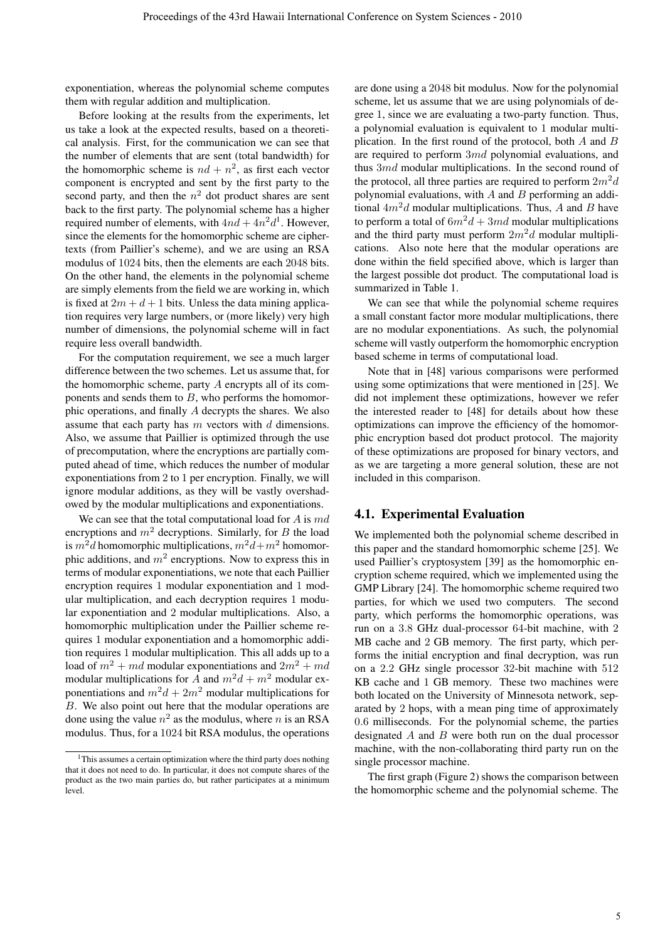exponentiation, whereas the polynomial scheme computes them with regular addition and multiplication.

Before looking at the results from the experiments, let us take a look at the expected results, based on a theoretical analysis. First, for the communication we can see that the number of elements that are sent (total bandwidth) for the homomorphic scheme is  $nd + n^2$ , as first each vector component is encrypted and sent by the first party to the second party, and then the  $n^2$  dot product shares are sent back to the first party. The polynomial scheme has a higher required number of elements, with  $4nd + 4n^2d^1$ . However, since the elements for the homomorphic scheme are ciphertexts (from Paillier's scheme), and we are using an RSA modulus of 1024 bits, then the elements are each 2048 bits. On the other hand, the elements in the polynomial scheme are simply elements from the field we are working in, which is fixed at  $2m + d + 1$  bits. Unless the data mining application requires very large numbers, or (more likely) very high number of dimensions, the polynomial scheme will in fact require less overall bandwidth.

For the computation requirement, we see a much larger difference between the two schemes. Let us assume that, for the homomorphic scheme, party  $A$  encrypts all of its components and sends them to  $B$ , who performs the homomorphic operations, and finally A decrypts the shares. We also assume that each party has  $m$  vectors with  $d$  dimensions. Also, we assume that Paillier is optimized through the use of precomputation, where the encryptions are partially computed ahead of time, which reduces the number of modular exponentiations from 2 to 1 per encryption. Finally, we will ignore modular additions, as they will be vastly overshadowed by the modular multiplications and exponentiations.

We can see that the total computational load for  $A$  is  $md$ encryptions and  $m^2$  decryptions. Similarly, for B the load is  $m^2d$  homomorphic multiplications,  $m^2d+m^2$  homomorphic additions, and  $m^2$  encryptions. Now to express this in terms of modular exponentiations, we note that each Paillier encryption requires 1 modular exponentiation and 1 modular multiplication, and each decryption requires 1 modular exponentiation and 2 modular multiplications. Also, a homomorphic multiplication under the Paillier scheme requires 1 modular exponentiation and a homomorphic addition requires 1 modular multiplication. This all adds up to a load of  $m^2 + md$  modular exponentiations and  $2m^2 + md$ modular multiplications for A and  $m^2d + m^2$  modular exponentiations and  $m^2d + 2m^2$  modular multiplications for B. We also point out here that the modular operations are done using the value  $n^2$  as the modulus, where n is an RSA modulus. Thus, for a 1024 bit RSA modulus, the operations

are done using a 2048 bit modulus. Now for the polynomial scheme, let us assume that we are using polynomials of degree 1, since we are evaluating a two-party function. Thus, a polynomial evaluation is equivalent to 1 modular multiplication. In the first round of the protocol, both  $A$  and  $B$ are required to perform 3md polynomial evaluations, and thus 3md modular multiplications. In the second round of the protocol, all three parties are required to perform  $2m^2d$ polynomial evaluations, with  $A$  and  $B$  performing an additional  $4m^2d$  modular multiplications. Thus, A and B have to perform a total of  $6m^2d + 3md$  modular multiplications and the third party must perform  $2m^2d$  modular multiplications. Also note here that the modular operations are done within the field specified above, which is larger than the largest possible dot product. The computational load is summarized in Table 1.

We can see that while the polynomial scheme requires a small constant factor more modular multiplications, there are no modular exponentiations. As such, the polynomial scheme will vastly outperform the homomorphic encryption based scheme in terms of computational load.

Note that in [48] various comparisons were performed using some optimizations that were mentioned in [25]. We did not implement these optimizations, however we refer the interested reader to [48] for details about how these optimizations can improve the efficiency of the homomorphic encryption based dot product protocol. The majority of these optimizations are proposed for binary vectors, and as we are targeting a more general solution, these are not included in this comparison.

#### **4.1. Experimental Evaluation**

We implemented both the polynomial scheme described in this paper and the standard homomorphic scheme [25]. We used Paillier's cryptosystem [39] as the homomorphic encryption scheme required, which we implemented using the GMP Library [24]. The homomorphic scheme required two parties, for which we used two computers. The second party, which performs the homomorphic operations, was run on a 3.8 GHz dual-processor 64-bit machine, with 2 MB cache and 2 GB memory. The first party, which performs the initial encryption and final decryption, was run on a 2.2 GHz single processor 32-bit machine with 512 KB cache and 1 GB memory. These two machines were both located on the University of Minnesota network, separated by 2 hops, with a mean ping time of approximately 0.6 milliseconds. For the polynomial scheme, the parties designated  $A$  and  $B$  were both run on the dual processor machine, with the non-collaborating third party run on the single processor machine.

The first graph (Figure 2) shows the comparison between the homomorphic scheme and the polynomial scheme. The

<sup>&</sup>lt;sup>1</sup>This assumes a certain optimization where the third party does nothing that it does not need to do. In particular, it does not compute shares of the product as the two main parties do, but rather participates at a minimum level.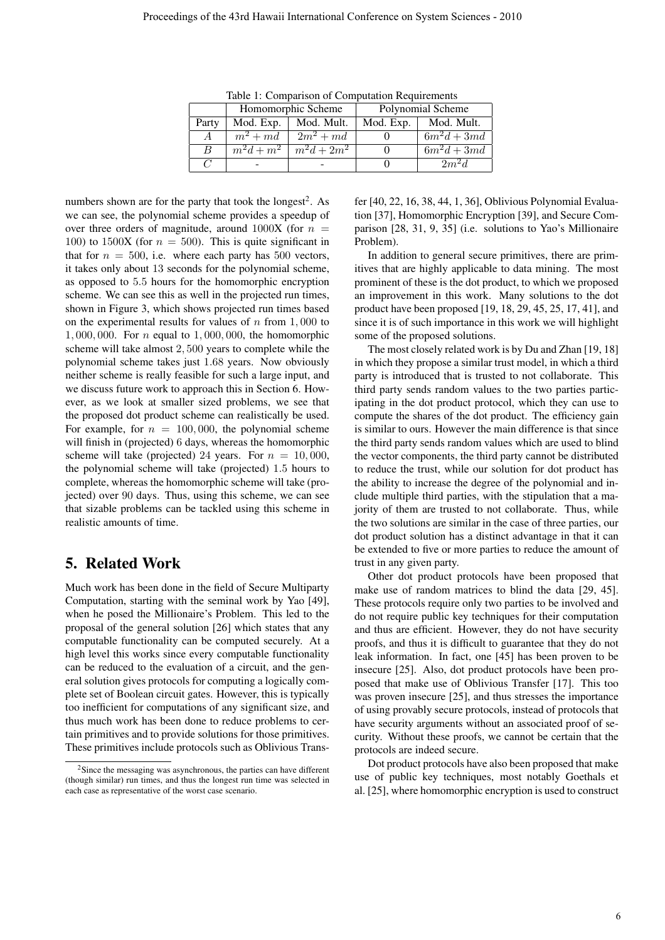|       | Homomorphic Scheme |                      | Polynomial Scheme |             |
|-------|--------------------|----------------------|-------------------|-------------|
| Party | Mod. Exp.          | Mod. Mult.           | Mod. Exp.         | Mod. Mult.  |
| A     | $m^2+md$           | $\overline{2m^2+md}$ |                   | $6m^2d+3md$ |
| B     | $m^2d+m^2$         | $m^2d + 2m^2$        |                   | $6m^2d+3md$ |
|       |                    |                      |                   | $2m^2d$     |

Table 1: Comparison of Computation Requirements

numbers shown are for the party that took the longest<sup>2</sup>. As we can see, the polynomial scheme provides a speedup of over three orders of magnitude, around 1000X (for  $n =$ 100) to 1500X (for  $n = 500$ ). This is quite significant in that for  $n = 500$ , i.e. where each party has 500 vectors, it takes only about 13 seconds for the polynomial scheme, as opposed to 5.5 hours for the homomorphic encryption scheme. We can see this as well in the projected run times, shown in Figure 3, which shows projected run times based on the experimental results for values of  $n$  from 1,000 to 1, 000, 000. For *n* equal to 1, 000, 000, the homomorphic scheme will take almost 2, 500 years to complete while the polynomial scheme takes just 1.68 years. Now obviously neither scheme is really feasible for such a large input, and we discuss future work to approach this in Section 6. However, as we look at smaller sized problems, we see that the proposed dot product scheme can realistically be used. For example, for  $n = 100,000$ , the polynomial scheme will finish in (projected) 6 days, whereas the homomorphic scheme will take (projected) 24 years. For  $n = 10,000$ , the polynomial scheme will take (projected) 1.5 hours to complete, whereas the homomorphic scheme will take (projected) over 90 days. Thus, using this scheme, we can see that sizable problems can be tackled using this scheme in realistic amounts of time.

## **5. Related Work**

Much work has been done in the field of Secure Multiparty Computation, starting with the seminal work by Yao [49], when he posed the Millionaire's Problem. This led to the proposal of the general solution [26] which states that any computable functionality can be computed securely. At a high level this works since every computable functionality can be reduced to the evaluation of a circuit, and the general solution gives protocols for computing a logically complete set of Boolean circuit gates. However, this is typically too inefficient for computations of any significant size, and thus much work has been done to reduce problems to certain primitives and to provide solutions for those primitives. These primitives include protocols such as Oblivious Transfer [40, 22, 16, 38, 44, 1, 36], Oblivious Polynomial Evaluation [37], Homomorphic Encryption [39], and Secure Comparison [28, 31, 9, 35] (i.e. solutions to Yao's Millionaire Problem).

In addition to general secure primitives, there are primitives that are highly applicable to data mining. The most prominent of these is the dot product, to which we proposed an improvement in this work. Many solutions to the dot product have been proposed [19, 18, 29, 45, 25, 17, 41], and since it is of such importance in this work we will highlight some of the proposed solutions.

The most closely related work is by Du and Zhan [19, 18] in which they propose a similar trust model, in which a third party is introduced that is trusted to not collaborate. This third party sends random values to the two parties participating in the dot product protocol, which they can use to compute the shares of the dot product. The efficiency gain is similar to ours. However the main difference is that since the third party sends random values which are used to blind the vector components, the third party cannot be distributed to reduce the trust, while our solution for dot product has the ability to increase the degree of the polynomial and include multiple third parties, with the stipulation that a majority of them are trusted to not collaborate. Thus, while the two solutions are similar in the case of three parties, our dot product solution has a distinct advantage in that it can be extended to five or more parties to reduce the amount of trust in any given party.

Other dot product protocols have been proposed that make use of random matrices to blind the data [29, 45]. These protocols require only two parties to be involved and do not require public key techniques for their computation and thus are efficient. However, they do not have security proofs, and thus it is difficult to guarantee that they do not leak information. In fact, one [45] has been proven to be insecure [25]. Also, dot product protocols have been proposed that make use of Oblivious Transfer [17]. This too was proven insecure [25], and thus stresses the importance of using provably secure protocols, instead of protocols that have security arguments without an associated proof of security. Without these proofs, we cannot be certain that the protocols are indeed secure.

Dot product protocols have also been proposed that make use of public key techniques, most notably Goethals et al. [25], where homomorphic encryption is used to construct

<sup>2</sup>Since the messaging was asynchronous, the parties can have different (though similar) run times, and thus the longest run time was selected in each case as representative of the worst case scenario.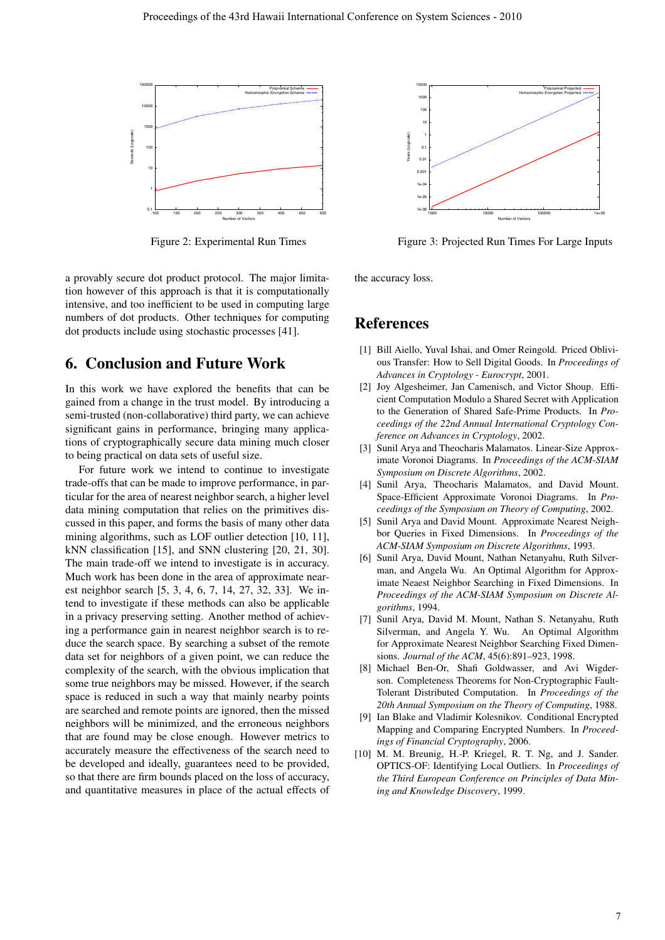

Figure 2: Experimental Run Times

a provably secure dot product protocol. The major limitation however of this approach is that it is computationally intensive, and too inefficient to be used in computing large numbers of dot products. Other techniques for computing dot products include using stochastic processes [41].

## **6. Conclusion and Future Work**

In this work we have explored the benefits that can be gained from a change in the trust model. By introducing a semi-trusted (non-collaborative) third party, we can achieve significant gains in performance, bringing many applications of cryptographically secure data mining much closer to being practical on data sets of useful size.

For future work we intend to continue to investigate trade-offs that can be made to improve performance, in particular for the area of nearest neighbor search, a higher level data mining computation that relies on the primitives discussed in this paper, and forms the basis of many other data mining algorithms, such as LOF outlier detection [10, 11], kNN classification [15], and SNN clustering [20, 21, 30]. The main trade-off we intend to investigate is in accuracy. Much work has been done in the area of approximate nearest neighbor search [5, 3, 4, 6, 7, 14, 27, 32, 33]. We intend to investigate if these methods can also be applicable in a privacy preserving setting. Another method of achieving a performance gain in nearest neighbor search is to reduce the search space. By searching a subset of the remote data set for neighbors of a given point, we can reduce the complexity of the search, with the obvious implication that some true neighbors may be missed. However, if the search space is reduced in such a way that mainly nearby points are searched and remote points are ignored, then the missed neighbors will be minimized, and the erroneous neighbors that are found may be close enough. However metrics to accurately measure the effectiveness of the search need to be developed and ideally, guarantees need to be provided, so that there are firm bounds placed on the loss of accuracy, and quantitative measures in place of the actual effects of



Figure 3: Projected Run Times For Large Inputs

the accuracy loss.

## **References**

- [1] Bill Aiello, Yuval Ishai, and Omer Reingold. Priced Oblivious Transfer: How to Sell Digital Goods. In *Proceedings of Advances in Cryptology - Eurocrypt*, 2001.
- [2] Joy Algesheimer, Jan Camenisch, and Victor Shoup. Efficient Computation Modulo a Shared Secret with Application to the Generation of Shared Safe-Prime Products. In *Proceedings of the 22nd Annual International Cryptology Conference on Advances in Cryptology*, 2002.
- [3] Sunil Arya and Theocharis Malamatos. Linear-Size Approximate Voronoi Diagrams. In *Proceedings of the ACM-SIAM Symposium on Discrete Algorithms*, 2002.
- [4] Sunil Arya, Theocharis Malamatos, and David Mount. Space-Efficient Approximate Voronoi Diagrams. In *Proceedings of the Symposium on Theory of Computing*, 2002.
- [5] Sunil Arya and David Mount. Approximate Nearest Neighbor Queries in Fixed Dimensions. In *Proceedings of the ACM-SIAM Symposium on Discrete Algorithms*, 1993.
- [6] Sunil Arya, David Mount, Nathan Netanyahu, Ruth Silverman, and Angela Wu. An Optimal Algorithm for Approximate Neaest Neighbor Searching in Fixed Dimensions. In *Proceedings of the ACM-SIAM Symposium on Discrete Algorithms*, 1994.
- [7] Sunil Arya, David M. Mount, Nathan S. Netanyahu, Ruth Silverman, and Angela Y. Wu. An Optimal Algorithm for Approximate Nearest Neighbor Searching Fixed Dimensions. *Journal of the ACM*, 45(6):891–923, 1998.
- [8] Michael Ben-Or, Shafi Goldwasser, and Avi Wigderson. Completeness Theorems for Non-Cryptographic Fault-Tolerant Distributed Computation. In *Proceedings of the 20th Annual Symposium on the Theory of Computing*, 1988.
- [9] Ian Blake and Vladimir Kolesnikov. Conditional Encrypted Mapping and Comparing Encrypted Numbers. In *Proceedings of Financial Cryptography*, 2006.
- [10] M. M. Breunig, H.-P. Kriegel, R. T. Ng, and J. Sander. OPTICS-OF: Identifying Local Outliers. In *Proceedings of the Third European Conference on Principles of Data Mining and Knowledge Discovery*, 1999.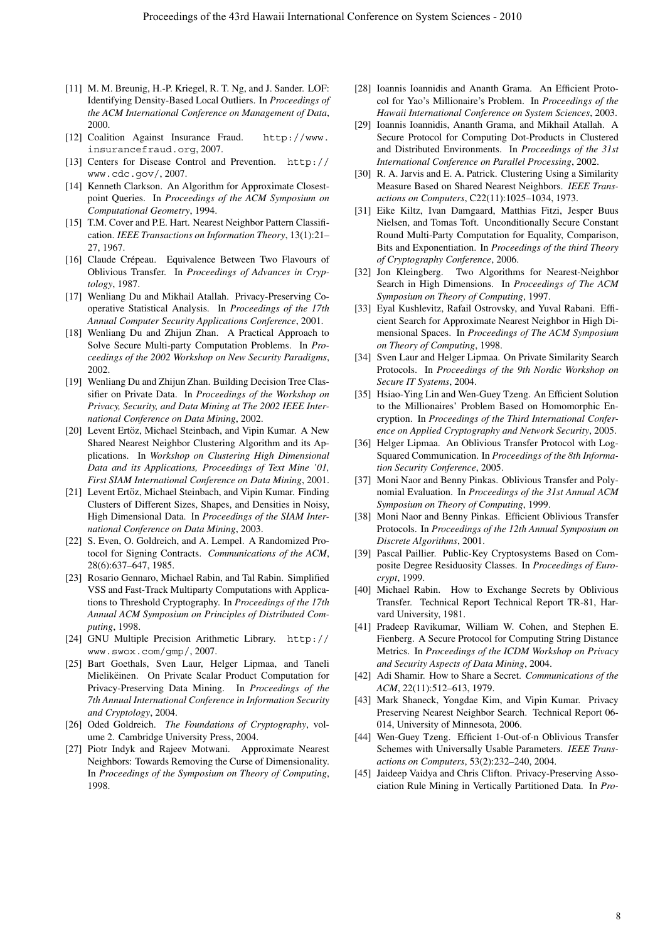- [11] M. M. Breunig, H.-P. Kriegel, R. T. Ng, and J. Sander. LOF: Identifying Density-Based Local Outliers. In *Proceedings of the ACM International Conference on Management of Data*, 2000.
- [12] Coalition Against Insurance Fraud. http://www. insurancefraud.org, 2007.
- [13] Centers for Disease Control and Prevention. http:// www.cdc.gov/, 2007.
- [14] Kenneth Clarkson. An Algorithm for Approximate Closestpoint Queries. In *Proceedings of the ACM Symposium on Computational Geometry*, 1994.
- [15] T.M. Cover and P.E. Hart. Nearest Neighbor Pattern Classification. *IEEE Transactions on Information Theory*, 13(1):21– 27, 1967.
- [16] Claude Crépeau. Equivalence Between Two Flavours of Oblivious Transfer. In *Proceedings of Advances in Cryptology*, 1987.
- [17] Wenliang Du and Mikhail Atallah. Privacy-Preserving Cooperative Statistical Analysis. In *Proceedings of the 17th Annual Computer Security Applications Conference*, 2001.
- [18] Wenliang Du and Zhijun Zhan. A Practical Approach to Solve Secure Multi-party Computation Problems. In *Proceedings of the 2002 Workshop on New Security Paradigms*, 2002.
- [19] Wenliang Du and Zhijun Zhan. Building Decision Tree Classifier on Private Data. In *Proceedings of the Workshop on Privacy, Security, and Data Mining at The 2002 IEEE International Conference on Data Mining*, 2002.
- [20] Levent Ertöz, Michael Steinbach, and Vipin Kumar. A New Shared Nearest Neighbor Clustering Algorithm and its Applications. In *Workshop on Clustering High Dimensional Data and its Applications, Proceedings of Text Mine '01, First SIAM International Conference on Data Mining*, 2001.
- [21] Levent Ertöz, Michael Steinbach, and Vipin Kumar. Finding Clusters of Different Sizes, Shapes, and Densities in Noisy, High Dimensional Data. In *Proceedings of the SIAM International Conference on Data Mining*, 2003.
- [22] S. Even, O. Goldreich, and A. Lempel. A Randomized Protocol for Signing Contracts. *Communications of the ACM*, 28(6):637–647, 1985.
- [23] Rosario Gennaro, Michael Rabin, and Tal Rabin. Simplified VSS and Fast-Track Multiparty Computations with Applications to Threshold Cryptography. In *Proceedings of the 17th Annual ACM Symposium on Principles of Distributed Computing*, 1998.
- [24] GNU Multiple Precision Arithmetic Library. http:// www.swox.com/gmp/, 2007.
- [25] Bart Goethals, Sven Laur, Helger Lipmaa, and Taneli Mielikeinen. On Private Scalar Product Computation for Privacy-Preserving Data Mining. In *Proceedings of the 7th Annual International Conference in Information Security and Cryptology*, 2004.
- [26] Oded Goldreich. *The Foundations of Cryptography*, volume 2. Cambridge University Press, 2004.
- [27] Piotr Indyk and Rajeev Motwani. Approximate Nearest Neighbors: Towards Removing the Curse of Dimensionality. In *Proceedings of the Symposium on Theory of Computing*, 1998.
- [28] Ioannis Ioannidis and Ananth Grama. An Efficient Protocol for Yao's Millionaire's Problem. In *Proceedings of the Hawaii International Conference on System Sciences*, 2003.
- [29] Ioannis Ioannidis, Ananth Grama, and Mikhail Atallah. A Secure Protocol for Computing Dot-Products in Clustered and Distributed Environments. In *Proceedings of the 31st International Conference on Parallel Processing*, 2002.
- [30] R. A. Jarvis and E. A. Patrick. Clustering Using a Similarity Measure Based on Shared Nearest Neighbors. *IEEE Transactions on Computers*, C22(11):1025–1034, 1973.
- [31] Eike Kiltz, Ivan Damgaard, Matthias Fitzi, Jesper Buus Nielsen, and Tomas Toft. Unconditionally Secure Constant Round Multi-Party Computation for Equality, Comparison, Bits and Exponentiation. In *Proceedings of the third Theory of Cryptography Conference*, 2006.
- [32] Jon Kleingberg. Two Algorithms for Nearest-Neighbor Search in High Dimensions. In *Proceedings of The ACM Symposium on Theory of Computing*, 1997.
- [33] Eyal Kushlevitz, Rafail Ostrovsky, and Yuval Rabani. Efficient Search for Approximate Nearest Neighbor in High Dimensional Spaces. In *Proceedings of The ACM Symposium on Theory of Computing*, 1998.
- [34] Sven Laur and Helger Lipmaa. On Private Similarity Search Protocols. In *Proceedings of the 9th Nordic Workshop on Secure IT Systems*, 2004.
- [35] Hsiao-Ying Lin and Wen-Guey Tzeng. An Efficient Solution to the Millionaires' Problem Based on Homomorphic Encryption. In *Proceedings of the Third International Conference on Applied Cryptography and Network Security*, 2005.
- [36] Helger Lipmaa. An Oblivious Transfer Protocol with Log-Squared Communication. In *Proceedings of the 8th Information Security Conference*, 2005.
- [37] Moni Naor and Benny Pinkas. Oblivious Transfer and Polynomial Evaluation. In *Proceedings of the 31st Annual ACM Symposium on Theory of Computing*, 1999.
- [38] Moni Naor and Benny Pinkas. Efficient Oblivious Transfer Protocols. In *Proceedings of the 12th Annual Symposium on Discrete Algorithms*, 2001.
- [39] Pascal Paillier. Public-Key Cryptosystems Based on Composite Degree Residuosity Classes. In *Proceedings of Eurocrypt*, 1999.
- [40] Michael Rabin. How to Exchange Secrets by Oblivious Transfer. Technical Report Technical Report TR-81, Harvard University, 1981.
- [41] Pradeep Ravikumar, William W. Cohen, and Stephen E. Fienberg. A Secure Protocol for Computing String Distance Metrics. In *Proceedings of the ICDM Workshop on Privacy and Security Aspects of Data Mining*, 2004.
- [42] Adi Shamir. How to Share a Secret. *Communications of the ACM*, 22(11):512–613, 1979.
- [43] Mark Shaneck, Yongdae Kim, and Vipin Kumar. Privacy Preserving Nearest Neighbor Search. Technical Report 06- 014, University of Minnesota, 2006.
- [44] Wen-Guey Tzeng. Efficient 1-Out-of-n Oblivious Transfer Schemes with Universally Usable Parameters. *IEEE Transactions on Computers*, 53(2):232–240, 2004.
- [45] Jaideep Vaidya and Chris Clifton. Privacy-Preserving Association Rule Mining in Vertically Partitioned Data. In *Pro-*